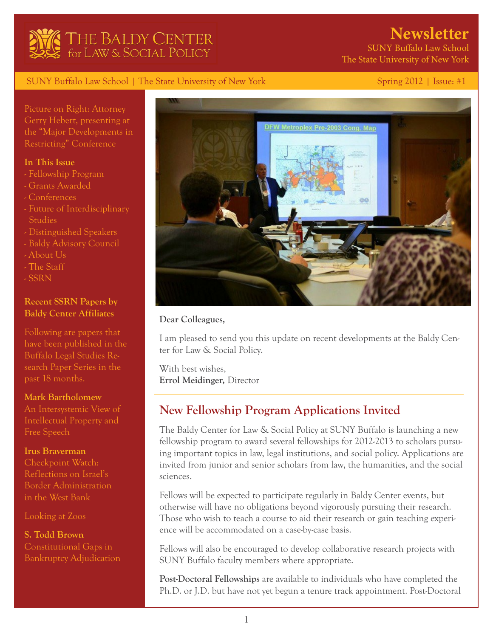

# **Newsletter**

 SUNY Buffalo Law School The State University of New York

## SUNY Buffalo Law School | The State University of New York Spring 2012 | Issue: #1

Picture on Right: Attorney Gerry Hebert, presenting at the "Major Developments in Restricting" Conference

## **In This Issue**

- Fellowship Program
- Grants Awarded
- Conferences
- Future of Interdisciplinary Studies
- Distinguished Speakers
- Baldy Advisory Council
- About Us
- The Staff
- SSRN

# **Recent SSRN Papers by Baldy Center Affiliates**

Following are papers that have been published in the Buffalo Legal Studies Research Paper Series in the past 18 months.

#### **[Mark Bartholomew](http://papers.ssrn.com/sol3/papers.cfm?abstract_id=1943210)**

[An Intersystemic View of](http://papers.ssrn.com/sol3/papers.cfm?abstract_id=1943210)  [Intellectual Property and](http://papers.ssrn.com/sol3/papers.cfm?abstract_id=1943210)  [Free Speech](http://papers.ssrn.com/sol3/papers.cfm?abstract_id=1943210)

#### **[Irus Braverman](http://papers.ssrn.com/sol3/papers.cfm?abstract_id=2016200)**

[Checkpoint Watch:](http://papers.ssrn.com/sol3/papers.cfm?abstract_id=2016200)  [Reflections on Israel's](http://papers.ssrn.com/sol3/papers.cfm?abstract_id=2016200)  [Border Administration](http://papers.ssrn.com/sol3/papers.cfm?abstract_id=2016200) [in the West Bank](http://papers.ssrn.com/sol3/papers.cfm?abstract_id=2016200)

[Looking at Zoos](http://papers.ssrn.com/sol3/papers.cfm?abstract_id=1956705)

**[S. Todd Brown](http://papers.ssrn.com/sol3/papers.cfm?abstract_id=1920484)** [Constitutional Gaps in](http://papers.ssrn.com/sol3/papers.cfm?abstract_id=1920484)  [Bankruptcy Adjudication](http://papers.ssrn.com/sol3/papers.cfm?abstract_id=1920484) 



#### **Dear Colleagues,**

I am pleased to send you this update on recent developments at the Baldy Center for Law & Social Policy.

With best wishes, **Errol Meidinger,** Director

# **New Fellowship Program Applications Invited**

The Baldy Center for Law & Social Policy at SUNY Buffalo is launching a new fellowship program to award several fellowships for 2012-2013 to scholars pursuing important topics in law, legal institutions, and social policy. Applications are invited from junior and senior scholars from law, the humanities, and the social sciences.

Fellows will be expected to participate regularly in Baldy Center events, but otherwise will have no obligations beyond vigorously pursuing their research. Those who wish to teach a course to aid their research or gain teaching experience will be accommodated on a case-by-case basis.

Fellows will also be encouraged to develop collaborative research projects with SUNY Buffalo faculty members where appropriate.

**Post-Doctoral Fellowships** are available to individuals who have completed the Ph.D. or J.D. but have not yet begun a tenure track appointment. Post-Doctoral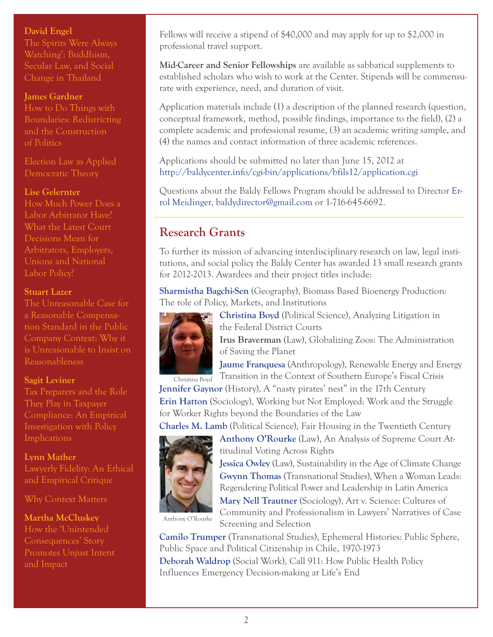## **[David Engel](http://papers.ssrn.com/sol3/papers.cfm?abstract_id=1879404)**

[The Spirits Were Always](http://papers.ssrn.com/sol3/papers.cfm?abstract_id=1879404)  [Watching': Buddhism,](http://papers.ssrn.com/sol3/papers.cfm?abstract_id=1879404)  [Secular Law, and Social](http://papers.ssrn.com/sol3/papers.cfm?abstract_id=1879404)  [Change in Thailand](http://papers.ssrn.com/sol3/papers.cfm?abstract_id=1879404) 

### **[James Gardner](http://papers.ssrn.com/sol3/papers.cfm?abstract_id=2001688)**

[How to Do Things with](http://papers.ssrn.com/sol3/papers.cfm?abstract_id=2001688)  [Boundaries: Redistricting](http://papers.ssrn.com/sol3/papers.cfm?abstract_id=2001688)  [and the Construction](http://papers.ssrn.com/sol3/papers.cfm?abstract_id=2001688)  [of Politics](http://papers.ssrn.com/sol3/papers.cfm?abstract_id=2001688) 

[Election Law as Applied](http://papers.ssrn.com/sol3/papers.cfm?abstract_id=1937899)  [Democratic Theory](http://papers.ssrn.com/sol3/papers.cfm?abstract_id=1937899)

## **[Lise Gelernter](http://papers.ssrn.com/sol3/papers.cfm?abstract_id=1889273)**

[How Much Power Does a](http://papers.ssrn.com/sol3/papers.cfm?abstract_id=1889273)  [Labor Arbitrator Have?](http://papers.ssrn.com/sol3/papers.cfm?abstract_id=1889273) [What the Latest Court](http://papers.ssrn.com/sol3/papers.cfm?abstract_id=1889273)  [Decisions Mean for](http://papers.ssrn.com/sol3/papers.cfm?abstract_id=1889273)  [Arbitrators, Employers,](http://papers.ssrn.com/sol3/papers.cfm?abstract_id=1889273)  [Unions and National](http://papers.ssrn.com/sol3/papers.cfm?abstract_id=1889273)  [Labor Policy?](http://papers.ssrn.com/sol3/papers.cfm?abstract_id=1889273) 

#### **[Stuart Lazer](http://papers.ssrn.com/sol3/papers.cfm?abstract_id=1912098)**

[The Unreasonable Case for](http://papers.ssrn.com/sol3/papers.cfm?abstract_id=1912098)  [a Reasonable Compensa](http://papers.ssrn.com/sol3/papers.cfm?abstract_id=1912098)[tion Standard in the Public](http://papers.ssrn.com/sol3/papers.cfm?abstract_id=1912098)  [Company Context: Why it](http://papers.ssrn.com/sol3/papers.cfm?abstract_id=1912098)  [is Unreasonable to Insist on](http://papers.ssrn.com/sol3/papers.cfm?abstract_id=1912098)  [Reasonableness](http://papers.ssrn.com/sol3/papers.cfm?abstract_id=1912098) 

#### **[Sagit Leviner](http://papers.ssrn.com/sol3/papers.cfm?abstract_id=1884188)**

[Tax Preparers and the Role](http://papers.ssrn.com/sol3/papers.cfm?abstract_id=1884188)  [They Play in Taxpayer](http://papers.ssrn.com/sol3/papers.cfm?abstract_id=1884188) [Compliance: An Empirical](http://papers.ssrn.com/sol3/papers.cfm?abstract_id=1884188)  [Investigation with Policy](http://papers.ssrn.com/sol3/papers.cfm?abstract_id=1884188)  **[Implications](http://papers.ssrn.com/sol3/papers.cfm?abstract_id=1884188)** 

## **[Lynn Mather](http://papers.ssrn.com/sol3/papers.cfm?abstract_id=2038959)**

[Lawyerly Fidelity: An Ethical](http://papers.ssrn.com/sol3/papers.cfm?abstract_id=2038959)  [and Empirical Critique](http://papers.ssrn.com/sol3/papers.cfm?abstract_id=2038959)

[Why Context Matters](http://papers.ssrn.com/sol3/papers.cfm?abstract_id=2038964)

**[Martha McCluskey](http://papers.ssrn.com/sol3/papers.cfm?abstract_id=1846848)** [How the 'Unintended](http://papers.ssrn.com/sol3/papers.cfm?abstract_id=1846848)  [Consequences' Story](http://papers.ssrn.com/sol3/papers.cfm?abstract_id=1846848)  [Promotes Unjust Intent](http://papers.ssrn.com/sol3/papers.cfm?abstract_id=1846848)  [and Impact](http://papers.ssrn.com/sol3/papers.cfm?abstract_id=1846848)

Fellows will receive a stipend of \$40,000 and may apply for up to \$2,000 in professional travel support.

**Mid-Career and Senior Fellowships** are available as sabbatical supplements to established scholars who wish to work at the Center. Stipends will be commensurate with experience, need, and duration of visit.

Application materials include (1) a description of the planned research (question, conceptual framework, method, possible findings, importance to the field), (2) a complete academic and professional resume, (3) an academic writing sample, and (4) the names and contact information of three academic references.

Applications should be submitted no later than June 15, 2012 at <http://baldycenter.info/cgi-bin/applications/bfils12/application.cgi>

Questions about the Baldy Fellows Program should be addressed to Director [Er](http://law.buffalo.edu/Faculty_And_Staff/dynamic_general_profile.asp?faculty=meidinger_errol)[rol Meidinger](http://law.buffalo.edu/Faculty_And_Staff/dynamic_general_profile.asp?faculty=meidinger_errol), [baldydirector@gmail.com](mailto:baldydirector%40gmail.com?subject=) or 1-716-645-6692.

# **Research Grants**

To further its mission of advancing interdisciplinary research on law, legal institutions, and social policy the Baldy Center has awarded 13 small research grants for 2012-2013. Awardees and their project titles include:

**[Sharmistha Bagchi-Sen](http://www.buffalo.edu/ub2020/strengths/our_academic_strategicstrengths/ict.html/faculty/profile.php?fid=263&sid=18)** (Geography), Biomass Based Bioenergy Production: The role of Policy, Markets, and Institutions



**[Christina Boyd](http://www.polsci.buffalo.edu/faculty_staff/boyd/)** (Political Science), Analyzing Litigation in the Federal District Courts

**Irus Braverman** (Law), Globalizing Zoos: The Administration of Saving the Planet

**[Jaume Franquesa](http://anthropology.buffalo.edu/people/faculty/franquesa/)** (Anthropology), Renewable Energy and Energy Transition in the Context of Southern Europe's Fiscal Crisis

**[Jennifer Gaynor](http://www.history.buffalo.edu/people/gaynor.shtml)** (History), A "nasty pirates' nest" in the 17th Century **[Erin Hatton](http://sociology.buffalo.edu/faculty_staff/faculty/hatton/)** (Sociology), Working but Not Employed: Work and the Struggle

for Worker Rights beyond the Boundaries of the Law

**[Charles M. Lamb](http://www.polsci.buffalo.edu/faculty_staff/lamb/)** (Political Science), Fair Housing in the Twentieth Century **[Anthony O'Rourke](http://law.buffalo.edu/Faculty_And_Staff/dynamic_general_profile.asp?faculty=ORourke_Anthony&displayname=Anthony%20O%27Rourke)** (Law), An Analysis of Supreme Court At-



titudinal Voting Across Rights **[Jessica Owley](http://law.buffalo.edu/Faculty_And_Staff/dynamic_general_profile.asp?faculty=Owley_Jessica)** (Law), Sustainability in the Age of Climate Change **[Gwynn Thomas](http://www.transnationalstudies.buffalo.edu/faculty/thomas.shtml)** (Transnational Studies), When a Woman Leads: Regendering Political Power and Leadership in Latin America

**[Mary Nell Trautner](http://sociology.buffalo.edu/faculty_staff/faculty/trautner/)** (Sociology), Art v. Science: Cultures of Community and Professionalism in Lawyers' Narratives of Case

Anthony O'Rourke

Screening and Selection **[Camilo Trumper](http://www.transnationalstudies.buffalo.edu/faculty/trumper.shtml)** (Transnational Studies), Ephemeral Histories: Public Sphere, Public Space and Political Citizenship in Chile, 1970-1973 **[Deborah Waldrop](http://www.socialwork.buffalo.edu/facstaff/scripts/faculty_page.asp?dce=dwaldrop)** (Social Work), Call 911: How Public Health Policy Influences Emergency Decision-making at Life's End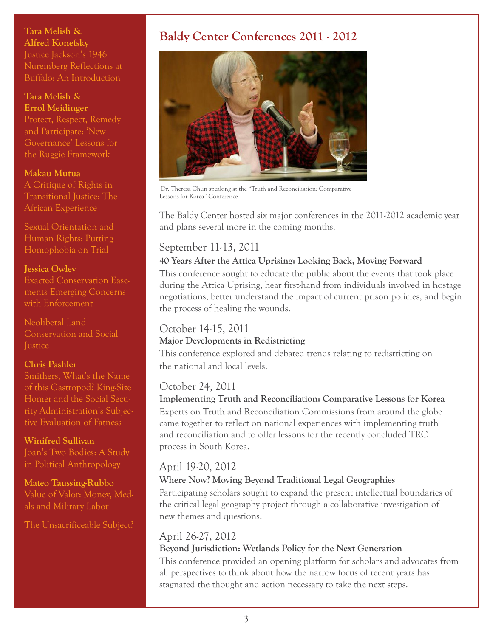**[Tara Melish &](http://papers.ssrn.com/sol3/papers.cfm?abstract_id=2029369)  [Alfred Konefsky](http://papers.ssrn.com/sol3/papers.cfm?abstract_id=2029369)** [Justice Jackson's 1946](http://papers.ssrn.com/sol3/papers.cfm?abstract_id=2029369)  [Nuremberg Reflections at](http://papers.ssrn.com/sol3/papers.cfm?abstract_id=2029369)  [Buffalo: An Introduction](http://papers.ssrn.com/sol3/papers.cfm?abstract_id=2029369)

### **[Tara Melish &](http://papers.ssrn.com/sol3/papers.cfm?abstract_id=1906834)  [Errol Meidinger](http://papers.ssrn.com/sol3/papers.cfm?abstract_id=1906834)**

[Protect, Respect, Remedy](http://papers.ssrn.com/sol3/papers.cfm?abstract_id=1906834)  [and Participate: 'New](http://papers.ssrn.com/sol3/papers.cfm?abstract_id=1906834)  [Governance' Lessons for](http://papers.ssrn.com/sol3/papers.cfm?abstract_id=1906834)  [the Ruggie Framework](http://papers.ssrn.com/sol3/papers.cfm?abstract_id=1906834)

## **[Makau Mutua](http://papers.ssrn.com/sol3/papers.cfm?abstract_id=1937903)**

[A Critique of Rights in](http://papers.ssrn.com/sol3/papers.cfm?abstract_id=1937903)  [Transitional Justice: The](http://papers.ssrn.com/sol3/papers.cfm?abstract_id=1937903)  [African Experience](http://papers.ssrn.com/sol3/papers.cfm?abstract_id=1937903)

[Sexual Orientation and](http://papers.ssrn.com/sol3/papers.cfm?abstract_id=1893040)  [Human Rights: Putting](http://papers.ssrn.com/sol3/papers.cfm?abstract_id=1893040)  [Homophobia on Trial](http://papers.ssrn.com/sol3/papers.cfm?abstract_id=1893040)

#### **[Jessica Owley](http://papers.ssrn.com/sol3/papers.cfm?abstract_id=1982833)**

[Exacted Conservation Ease](http://papers.ssrn.com/sol3/papers.cfm?abstract_id=1982833)[ments Emerging Concerns](http://papers.ssrn.com/sol3/papers.cfm?abstract_id=1982833)  [with Enforcement](http://papers.ssrn.com/sol3/papers.cfm?abstract_id=1982833) 

[Neoliberal Land](http://papers.ssrn.com/sol3/papers.cfm?abstract_id=2040827)  [Conservation and Social](http://papers.ssrn.com/sol3/papers.cfm?abstract_id=2040827)  **[Justice](http://papers.ssrn.com/sol3/papers.cfm?abstract_id=2040827)** 

## **[Chris Pashler](http://papers.ssrn.com/sol3/papers.cfm?abstract_id=2016396)**

[Smithers, What's the Name](http://papers.ssrn.com/sol3/papers.cfm?abstract_id=2016396)  [of this Gastropod? King-Size](http://papers.ssrn.com/sol3/papers.cfm?abstract_id=2016396)  [Homer and the Social Secu](http://papers.ssrn.com/sol3/papers.cfm?abstract_id=2016396)[rity Administration's Subjec](http://papers.ssrn.com/sol3/papers.cfm?abstract_id=2016396)[tive Evaluation of Fatness](http://papers.ssrn.com/sol3/papers.cfm?abstract_id=2016396) 

**[Winifred Sullivan](http://papers.ssrn.com/sol3/papers.cfm?abstract_id=1815360)** [Joan's Two Bodies: A Study](http://papers.ssrn.com/sol3/papers.cfm?abstract_id=1815360)  [in Political Anthropology](http://papers.ssrn.com/sol3/papers.cfm?abstract_id=1815360) 

**[Mateo Taussing-Rubbo](http://papers.ssrn.com/sol3/papers.cfm?abstract_id=2010707)**  [Value of Valor: Money, Med](http://papers.ssrn.com/sol3/papers.cfm?abstract_id=2010707)[als and Military Labor](http://papers.ssrn.com/sol3/papers.cfm?abstract_id=2010707) 

[The Unsacrificeable Subject?](http://papers.ssrn.com/sol3/papers.cfm?abstract_id=1940549) 

# **Baldy Center Conferences 2011 - 2012**



 Dr. Theresa Chun speaking at the "Truth and Reconciliation: Comparative Lessons for Korea" Conference

The Baldy Center hosted six major conferences in the 2011-2012 academic year and plans several more in the coming months.

# September 11-13, 2011

# **40 Years After the Attica Uprising: Looking Back, Moving Forward**

This conference sought to educate the public about the events that took place during the Attica Uprising, hear first-hand from individuals involved in hostage negotiations, better understand the impact of current prison policies, and begin the process of healing the wounds.

# October 14-15, 2011

# **Major Developments in Redistricting**

This conference explored and debated trends relating to redistricting on the national and local levels.

# October 24, 2011

**Implementing Truth and Reconciliation: Comparative Lessons for Korea** Experts on Truth and Reconciliation Commissions from around the globe came together to reflect on national experiences with implementing truth and reconciliation and to offer lessons for the recently concluded TRC process in South Korea.

# April 19-20, 2012

# **Where Now? Moving Beyond Traditional Legal Geographies**

Participating scholars sought to expand the present intellectual boundaries of the critical legal geography project through a collaborative investigation of new themes and questions.

# April 26-27, 2012

# **Beyond Jurisdiction: Wetlands Policy for the Next Generation**

This conference provided an opening platform for scholars and advocates from all perspectives to think about how the narrow focus of recent years has stagnated the thought and action necessary to take the next steps.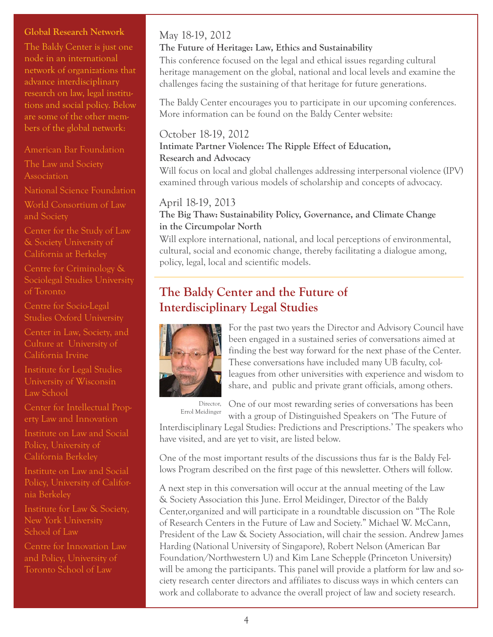## **Global Research Network**

The Baldy Center is just one node in an international network of organizations that advance interdisciplinary research on law, legal institutions and social policy. Below are some of the other members of the global network:

#### [American Bar Foundation](http://www.americanbarfoundation.org/index.html)

[The Law and Society](http://www.lawandsociety.org/)  **[Association](http://www.lawandsociety.org/)** 

[National Science Foundation](http://www.nsf.gov/)

[World Consortium of Law](http://lawandsocietyworld.org/)  [and Society](http://lawandsocietyworld.org/)

[Center for the Study of Law](http://www.law.berkeley.edu/214.htm)  [& Society University of](http://www.law.berkeley.edu/214.htm)  [California at Berkeley](http://www.law.berkeley.edu/214.htm)

[Centre for Criminology &](http://www.criminology.utoronto.ca/home/workshops_symposia.html)  [Sociolegal Studies University](http://www.criminology.utoronto.ca/home/workshops_symposia.html)  [of Toronto](http://www.criminology.utoronto.ca/home/workshops_symposia.html)

[Centre for Socio-Legal](http://www.csls.ox.ac.uk/people.php)  [Studies Oxford University](http://www.csls.ox.ac.uk/people.php)

[Center in Law, Society, and](http://clsc.soceco.uci.edu/)  [Culture at University of](http://clsc.soceco.uci.edu/)  [California Irvine](http://clsc.soceco.uci.edu/) 

[Institute for Legal Studies](http://www.law.wisc.edu/ils/)  [University of Wisconsin](http://www.law.wisc.edu/ils/)  [Law School](http://www.law.wisc.edu/ils/)

[Center for Intellectual Prop](http://indylaw.indiana.edu/centers/ip/)[erty Law and Innovation](http://indylaw.indiana.edu/centers/ip/)

[Institute on Law and Social](http://www.law.berkeley.edu/ewi.htm)  [Policy, University of](http://www.law.berkeley.edu/ewi.htm)  [California Berkeley](http://www.law.berkeley.edu/ewi.htm)

[Institute on Law and Social](http://www1.law.nyu.edu/ils/)  [Policy, University of Califor](http://www1.law.nyu.edu/ils/)[nia Berkeley](http://www1.law.nyu.edu/ils/) 

[Institute for Law & Society,](http://www1.law.nyu.edu/ils/)  [New York University](http://www1.law.nyu.edu/ils/)  [School of Law](http://www1.law.nyu.edu/ils/) 

[Centre for Innovation Law](http://www.law.utoronto.ca/visitors_content.asp?itemPath=5/12/5/0/0&contentId=367&cType=webpages)  [and Policy, University of](http://www.law.utoronto.ca/visitors_content.asp?itemPath=5/12/5/0/0&contentId=367&cType=webpages)  [Toronto School of Law](http://www.law.utoronto.ca/visitors_content.asp?itemPath=5/12/5/0/0&contentId=367&cType=webpages)

# May 18-19, 2012

#### **The Future of Heritage: Law, Ethics and Sustainability**

This conference focused on the legal and ethical issues regarding cultural heritage management on the global, national and local levels and examine the challenges facing the sustaining of that heritage for future generations.

The Baldy Center encourages you to participate in our upcoming conferences. More information can be found on the Baldy Center website:

# October 18-19, 2012 **Intimate Partner Violence: The Ripple Effect of Education, Research and Advocacy**

Will focus on local and global challenges addressing interpersonal violence (IPV) examined through various models of scholarship and concepts of advocacy.

## April 18-19, 2013

## **The Big Thaw: Sustainability Policy, Governance, and Climate Change in the Circumpolar North**

Will explore international, national, and local perceptions of environmental, cultural, social and economic change, thereby facilitating a dialogue among, policy, legal, local and scientific models.

# **The Baldy Center and the Future of Interdisciplinary Legal Studies**



For the past two years the Director and Advisory Council have been engaged in a sustained series of conversations aimed at finding the best way forward for the next phase of the Center. These conversations have included many UB faculty, colleagues from other universities with experience and wisdom to share, and public and private grant officials, among others.

Errol Meidinger

One of our most rewarding series of conversations has been Director, with a group of Distinguished Speakers on 'The Future of

Interdisciplinary Legal Studies: Predictions and Prescriptions.' The speakers who have visited, and are yet to visit, are listed below.

One of the most important results of the discussions thus far is the Baldy Fellows Program described on the first page of this newsletter. Others will follow.

A next step in this conversation will occur at the annual meeting of the Law & Society Association this June. Errol Meidinger, Director of the Baldy Center,organized and will participate in a roundtable discussion on "The Role of Research Centers in the Future of Law and Society." Michael W. McCann, President of the Law & Society Association, will chair the session. Andrew James Harding (National University of Singapore), Robert Nelson (American Bar Foundation/Northwestern U) and Kim Lane Schepple (Princeton University) will be among the participants. This panel will provide a platform for law and society research center directors and affiliates to discuss ways in which centers can work and collaborate to advance the overall project of law and society research.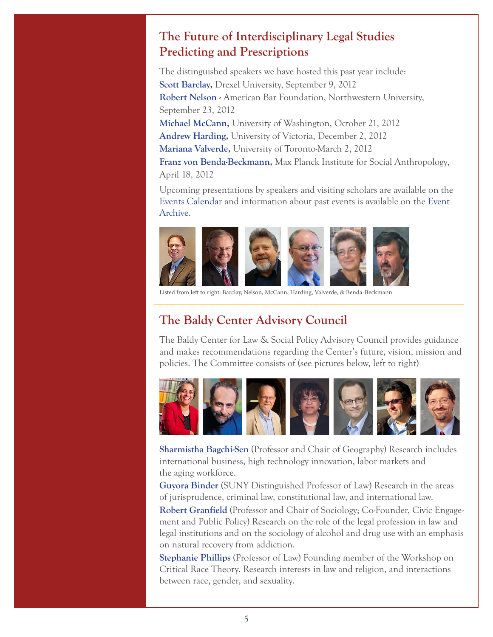# **The Future of Interdisciplinary Legal Studies Predicting and Prescriptions**

The distinguished speakers we have hosted this past year include: **[Scott Barclay,](http://www.socialwork.buffalo.edu/facstaff/scripts/faculty_page.asp?dce=dwaldrop) Drexel University, September 9, 2012 [Robert Nelson](http://www.sociology.northwestern.edu/people/faculty/robert-nelson.html) -** American Bar Foundation, Northwestern University, September 23, 2012 **[Michael McCann,](http://www.polisci.washington.edu/directory/faculty/Faculty/faculty_mccann.html)** University of Washington, October 21, 2012 **[Andrew Harding,](http://works.bepress.com/andrew_harding/)** University of Victoria, December 2, 2012 **[Mariana Valverde](http://criminology.utoronto.ca/home/mariana_valverde.html),** University of Toronto-March 2, 2012 **[Franz von Benda-Beckmann](http://www.eth.mpg.de/cms/en/people/d/fbenda/),** Max Planck Institute for Social Anthropology, April 18, 2012

Upcoming presentations by speakers and visiting scholars are available on the [Events Calendar](http://www.law.buffalo.edu/baldycenter/events.htm) and information about past events is available on the [Event](http://www.law.buffalo.edu/baldycenter/confarchive.htm)  [Archive](http://www.law.buffalo.edu/baldycenter/confarchive.htm).



Listed from left to right: Barclay, Nelson, McCann, Harding, Valverde, & Benda-Beckmann

# **The Baldy Center Advisory Council**

The Baldy Center for Law & Social Policy Advisory Council provides guidance and makes recommendations regarding the Center's future, vision, mission and policies. The Committee consists of (see pictures below, left to right)



**[Sharmistha Bagchi-Sen](http://www.acsu.buffalo.edu/~geosbs/)** (Professor and Chair of Geography) Research includes international business, high technology innovation, labor markets and the aging workforce.

**[Guyora Binder](http://law.buffalo.edu/Faculty_And_Staff/dynamic_general_profile.asp?faculty=binder_guyora)** (SUNY Distinguished Professor of Law) Research in the areas of jurisprudence, criminal law, constitutional law, and international law.

**[Robert Granfield](http://sociology.buffalo.edu/faculty_staff/faculty/granfield/)** (Professor and Chair of Sociology; Co-Founder, Civic Engagement and Public Policy) Research on the role of the legal profession in law and legal institutions and on the sociology of alcohol and drug use with an emphasis on natural recovery from addiction.

**[Stephanie Phillips](http://law.buffalo.edu/Faculty_And_Staff/dynamic_general_profile.asp?faculty=phillips_stephanie)** (Professor of Law) Founding member of the Workshop on Critical Race Theory. Research interests in law and religion, and interactions between race, gender, and sexuality.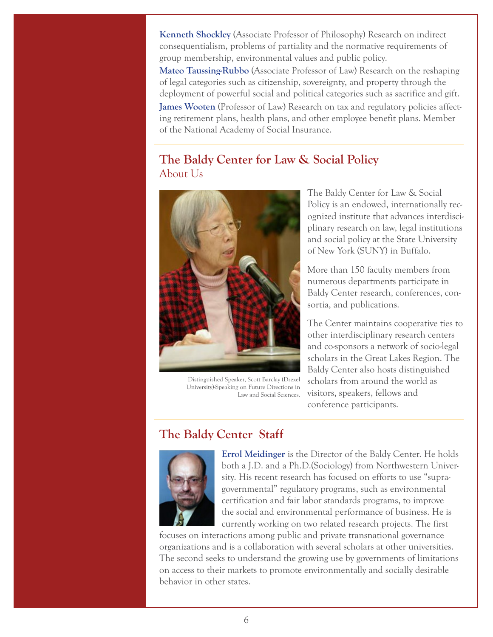**[Kenneth Shockley](http://philosophy.buffalo.edu/people/faculty/shockley/)** (Associate Professor of Philosophy) Research on indirect consequentialism, problems of partiality and the normative requirements of group membership, environmental values and public policy.

**[Mateo Taussing-Rubbo](http://philosophy.buffalo.edu/people/faculty/shockley/)** (Associate Professor of Law) Research on the reshaping of legal categories such as citizenship, sovereignty, and property through the deployment of powerful social and political categories such as sacrifice and gift.

**[James Wooten](http://law.buffalo.edu/Faculty_And_Staff/dynamic_general_profile.asp?faculty=wooten_james)** (Professor of Law) Research on tax and regulatory policies affecting retirement plans, health plans, and other employee benefit plans. Member of the National Academy of Social Insurance.

# **The Baldy Center for Law & Social Policy** About Us



 Distinguished Speaker, Scott Barclay (Drexel University)-Speaking on Future Directions in Law and Social Sciences.

The Baldy Center for Law & Social Policy is an endowed, internationally recognized institute that advances interdisciplinary research on law, legal institutions and social policy at the State University of New York (SUNY) in Buffalo.

More than 150 faculty members from numerous departments participate in Baldy Center research, conferences, consortia, and publications.

The Center maintains cooperative ties to other interdisciplinary research centers and co-sponsors a network of socio-legal scholars in the Great Lakes Region. The Baldy Center also hosts distinguished scholars from around the world as visitors, speakers, fellows and conference participants.

# **The Baldy Center Staff**



**[Errol Meidinger](http://law.buffalo.edu/Faculty_And_Staff/dynamic_general_profile.asp?faculty=meidinger_errol)** is the Director of the Baldy Center. He holds both a J.D. and a Ph.D.(Sociology) from Northwestern University. His recent research has focused on efforts to use "supragovernmental" regulatory programs, such as environmental certification and fair labor standards programs, to improve the social and environmental performance of business. He is currently working on two related research projects. The first

focuses on interactions among public and private transnational governance organizations and is a collaboration with several scholars at other universities. The second seeks to understand the growing use by governments of limitations on access to their markets to promote environmentally and socially desirable behavior in other states.